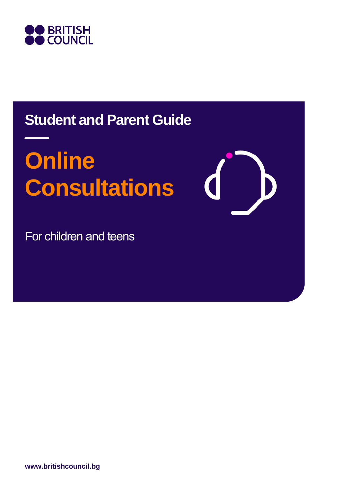

## **Student and Parent Guide**

# **Online Consultations**

For children and teens

**www.britishcouncil.bg**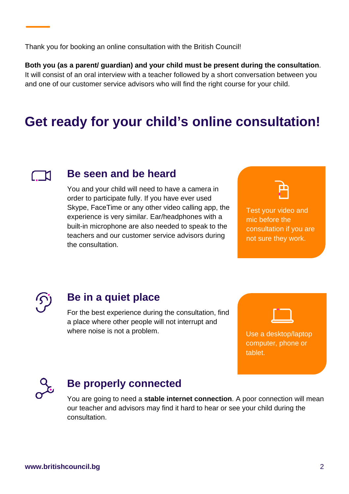Thank you for booking an online consultation with the British Council!

**Both you (as a parent/ guardian) and your child must be present during the consultation**. It will consist of an oral interview with a teacher followed by a short conversation between you and one of our customer service advisors who will find the right course for your child.

## **Get ready for your child's online consultation!**



#### **Be seen and be heard**

You and your child will need to have a camera in order to participate fully. If you have ever used Skype, FaceTime or any other video calling app, the experience is very similar. Ear/headphones with a built-in microphone are also needed to speak to the teachers and our customer service advisors during the consultation.



Test your video and mic before the consultation if you are not sure they work.



#### **Be in a quiet place**

For the best experience during the consultation, find a place where other people will not interrupt and where noise is not a problem.



Use a desktop/laptop computer, phone or tablet.



#### **Be properly connected**

You are going to need a **stable internet connection**. A poor connection will mean our teacher and advisors may find it hard to hear or see your child during the consultation.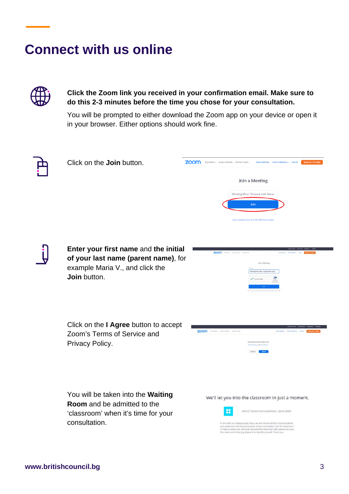### **Connect with us online**



**Click the Zoom link you received in your confirmation email. Make sure to do this 2-3 minutes before the time you chose for your consultation.** 

You will be prompted to either download the Zoom app on your device or open it in your browser. Either options should work fine.